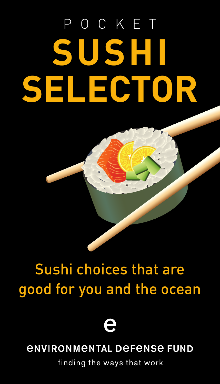# POCKET **SUSHI SELECTOR**

#### Sushi choices that are good for you and the ocean

e

#### *ENVIRONMENTAL DEFENSE FUND*

finding the ways that work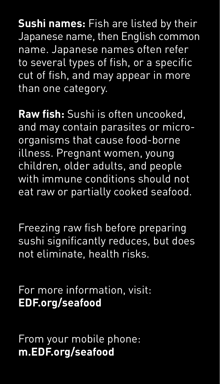**Sushi names:** Fish are listed by their Japanese name, then English common name. Japanese names often refer to several types of fish, or a specific cut of fish, and may appear in more than one category.

**Raw fish:** Sushi is often uncooked, and may contain parasites or microorganisms that cause food-borne illness. Pregnant women, young children, older adults, and people with immune conditions should not eat raw or partially cooked seafood.

Freezing raw fish before preparing sushi significantly reduces, but does not eliminate, health risks.

For more information, visit: **EDF.org/seafood**

From your mobile phone: **m.EDF.org/seafood**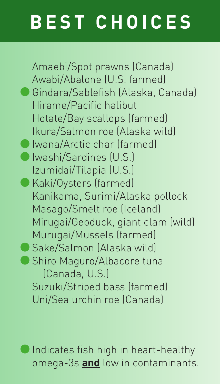## **BEST CHOICES**

Amaebi/Spot prawns (Canada) Awabi/Abalone (U.S. farmed) **•**Gindara/Sablefish (Alaska, Canada) Hirame/Pacific halibut Hotate/Bay scallops (farmed) Ikura/Salmon roe (Alaska wild) **•**Iwana/Arctic char (farmed) **•**Iwashi/Sardines (U.S.) Izumidai/Tilapia (U.S.) **•**Kaki/Oysters (farmed) Kanikama, Surimi/Alaska pollock Masago/Smelt roe (Iceland) Mirugai/Geoduck, giant clam (wild) Murugai/Mussels (farmed) **•**Sake/Salmon (Alaska wild) **•** Shiro Maguro/Albacore tuna (Canada, U.S.) Suzuki/Striped bass (farmed) Uni/Sea urchin roe (Canada)

**•**Indicates fish high in heart-healthy omega-3s **and** low in contaminants.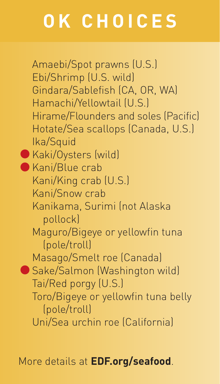## **OK CHOICES**

Amaebi/Spot prawns (U.S.) Ebi/Shrimp (U.S. wild) Gindara/Sablefish (CA, OR, WA) Hamachi/Yellowtail (U.S.) Hirame/Flounders and soles (Pacific) Hotate/Sea scallops (Canada, U.S.) Ika/Squid **•**Kaki/Oysters (wild) **•**Kani/Blue crab Kani/King crab (U.S.) Kani/Snow crab Kanikama, Surimi (not Alaska pollock) Maguro/Bigeye or yellowfin tuna (pole/troll) Masago/Smelt roe (Canada) **•**Sake/Salmon (Washington wild) Tai/Red porgy (U.S.) Toro/Bigeye or yellowfin tuna belly (pole/troll) Uni/Sea urchin roe (California)

More details at **EDF.org/seafood**.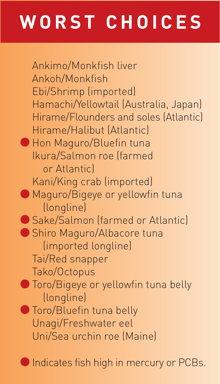### **WORST CHOICES**

Ankimo/Monkfish liver Ankoh/Monkfish Ebi/Shrimp (imported) Hamachi/Yellowtail (Australia, Japan) Hirame/Flounders and soles (Atlantic) Hirame/Halibut (Atlantic) **•**Hon Maguro/Bluefin tuna Ikura/Salmon roe (farmed or Atlantic) Kani/King crab (imported) **•**Maguro/Bigeye or yellowfin tuna (longline) **•**Sake/Salmon (farmed or Atlantic) **•**Shiro Maguro/Albacore tuna (imported longline) Tai/Red snapper Tako/Octopus **•**Toro/Bigeye or yellowfin tuna belly (longline) **•**Toro/Bluefin tuna belly Unagi/Freshwater eel Uni/Sea urchin roe (Maine)

**•**Indicates fish high in mercury or PCBs.